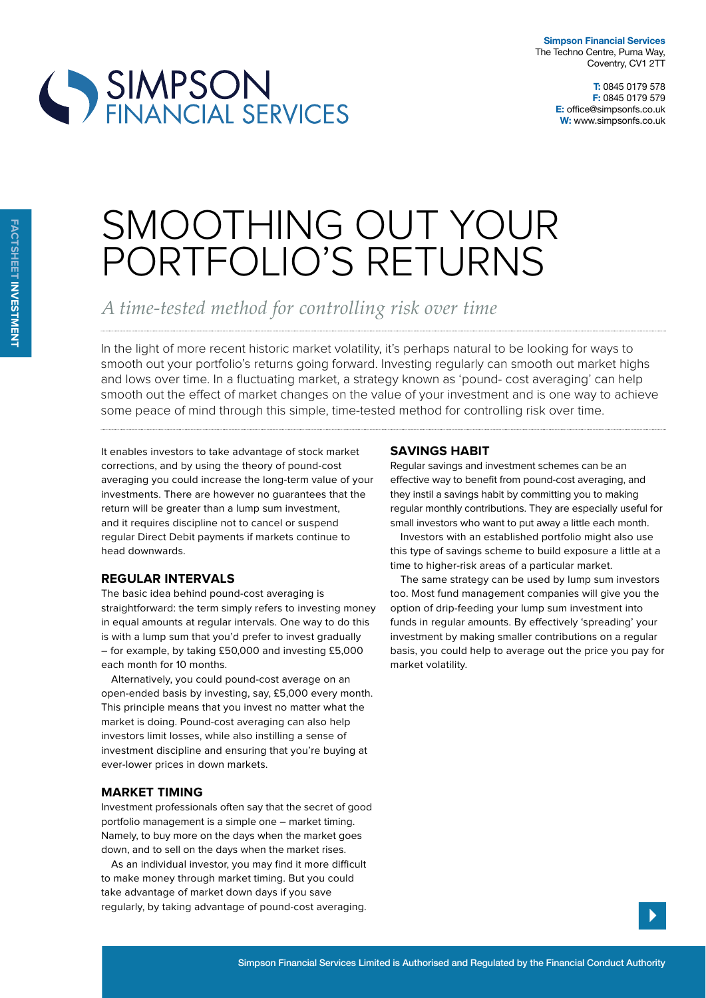

# SIMPSON<br>FINANCIAL SERVICES

# SMOOTHING OUT YOUR PORTFOLIO'S RETURNS

*A time-tested method for controlling risk over time*

In the light of more recent historic market volatility, it's perhaps natural to be looking for ways to smooth out your portfolio's returns going forward. Investing regularly can smooth out market highs and lows over time. In a fluctuating market, a strategy known as 'pound- cost averaging' can help smooth out the efect of market changes on the value of your investment and is one way to achieve some peace of mind through this simple, time-tested method for controlling risk over time.

It enables investors to take advantage of stock market corrections, and by using the theory of pound-cost averaging you could increase the long-term value of your investments. There are however no guarantees that the return will be greater than a lump sum investment, and it requires discipline not to cancel or suspend regular Direct Debit payments if markets continue to head downwards.

### **regular intervals**

The basic idea behind pound-cost averaging is straightforward: the term simply refers to investing money in equal amounts at regular intervals. One way to do this is with a lump sum that you'd prefer to invest gradually – for example, by taking £50,000 and investing £5,000 each month for 10 months.

Alternatively, you could pound-cost average on an open-ended basis by investing, say, £5,000 every month. This principle means that you invest no matter what the market is doing. Pound-cost averaging can also help investors limit losses, while also instilling a sense of investment discipline and ensuring that you're buying at ever-lower prices in down markets.

## **market timing**

Investment professionals often say that the secret of good portfolio management is a simple one – market timing. Namely, to buy more on the days when the market goes down, and to sell on the days when the market rises.

As an individual investor, you may find it more difficult to make money through market timing. But you could take advantage of market down days if you save regularly, by taking advantage of pound-cost averaging.

### **savings HaBit**

Regular savings and investment schemes can be an efective way to benefit from pound-cost averaging, and they instil a savings habit by committing you to making regular monthly contributions. They are especially useful for small investors who want to put away a little each month.

Investors with an established portfolio might also use this type of savings scheme to build exposure a little at a time to higher-risk areas of a particular market.

The same strategy can be used by lump sum investors too. Most fund management companies will give you the option of drip-feeding your lump sum investment into funds in regular amounts. By effectively 'spreading' your investment by making smaller contributions on a regular basis, you could help to average out the price you pay for market volatility.